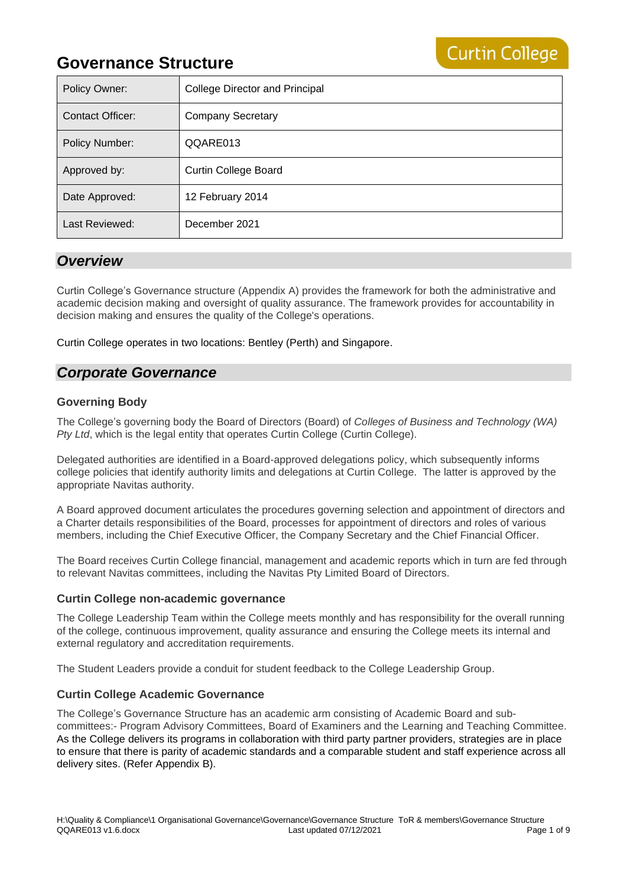| Policy Owner:           | <b>College Director and Principal</b> |
|-------------------------|---------------------------------------|
| <b>Contact Officer:</b> | <b>Company Secretary</b>              |
| <b>Policy Number:</b>   | QQARE013                              |
| Approved by:            | <b>Curtin College Board</b>           |
| Date Approved:          | 12 February 2014                      |
| Last Reviewed:          | December 2021                         |

**Curtin College** 

### *Overview*

Curtin College's Governance structure (Appendix A) provides the framework for both the administrative and academic decision making and oversight of quality assurance. The framework provides for accountability in decision making and ensures the quality of the College's operations.

Curtin College operates in two locations: Bentley (Perth) and Singapore.

### *Corporate Governance*

### **Governing Body**

The College's governing body the Board of Directors (Board) of *Colleges of Business and Technology (WA) Pty Ltd*, which is the legal entity that operates Curtin College (Curtin College).

Delegated authorities are identified in a Board-approved delegations policy, which subsequently informs college policies that identify authority limits and delegations at Curtin College. The latter is approved by the appropriate Navitas authority.

A Board approved document articulates the procedures governing selection and appointment of directors and a Charter details responsibilities of the Board, processes for appointment of directors and roles of various members, including the Chief Executive Officer, the Company Secretary and the Chief Financial Officer.

The Board receives Curtin College financial, management and academic reports which in turn are fed through to relevant Navitas committees, including the Navitas Pty Limited Board of Directors.

### **Curtin College non-academic governance**

The College Leadership Team within the College meets monthly and has responsibility for the overall running of the college, continuous improvement, quality assurance and ensuring the College meets its internal and external regulatory and accreditation requirements.

The Student Leaders provide a conduit for student feedback to the College Leadership Group.

### **Curtin College Academic Governance**

The College's Governance Structure has an academic arm consisting of Academic Board and subcommittees:- Program Advisory Committees, Board of Examiners and the Learning and Teaching Committee. As the College delivers its programs in collaboration with third party partner providers, strategies are in place to ensure that there is parity of academic standards and a comparable student and staff experience across all delivery sites. (Refer Appendix B).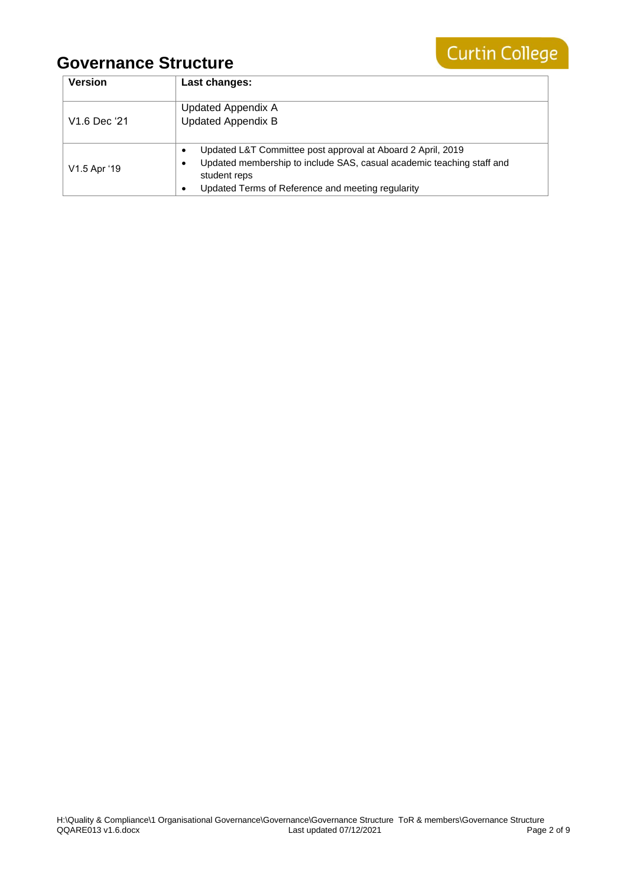

| <b>Version</b>           | Last changes:                                                                                                                                                                                             |
|--------------------------|-----------------------------------------------------------------------------------------------------------------------------------------------------------------------------------------------------------|
| V <sub>1.6</sub> Dec '21 | <b>Updated Appendix A</b><br><b>Updated Appendix B</b>                                                                                                                                                    |
| V1.5 Apr '19             | Updated L&T Committee post approval at Aboard 2 April, 2019<br>Updated membership to include SAS, casual academic teaching staff and<br>student reps<br>Updated Terms of Reference and meeting regularity |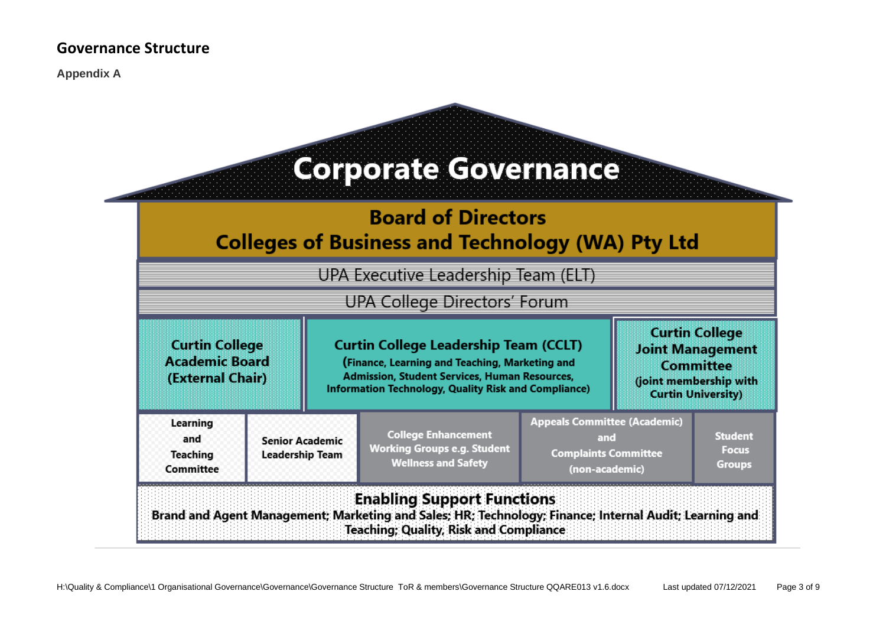**Appendix A**

#### **Corporate Governance Board of Directors Colleges of Business and Technology (WA) Pty Ltd** UPA Executive Leadership Team (ELT) **UPA College Directors' Forum Curtin College Curtin College Curtin College Leadership Team (CCLT) Joint Management Academic Board** (Finance, Learning and Teaching, Marketing and Committee **Admission, Student Services, Human Resources,** (External Chair) (joint membership with **Information Technology, Quality Risk and Compliance) Curtin University) Appeals Committee (Academic)** Learning **College Enhancement Student** and and **Senior Academic Working Groups e.g. Student Focus Complaints Committee Teaching Leadership Team Wellness and Safety Groups** Committee (non-academic) **Enabling Support Functions**

Brand and Agent Management; Marketing and Sales; HR; Technology; Finance; Internal Audit; Learning and **Teaching: Quality, Risk and Compliance**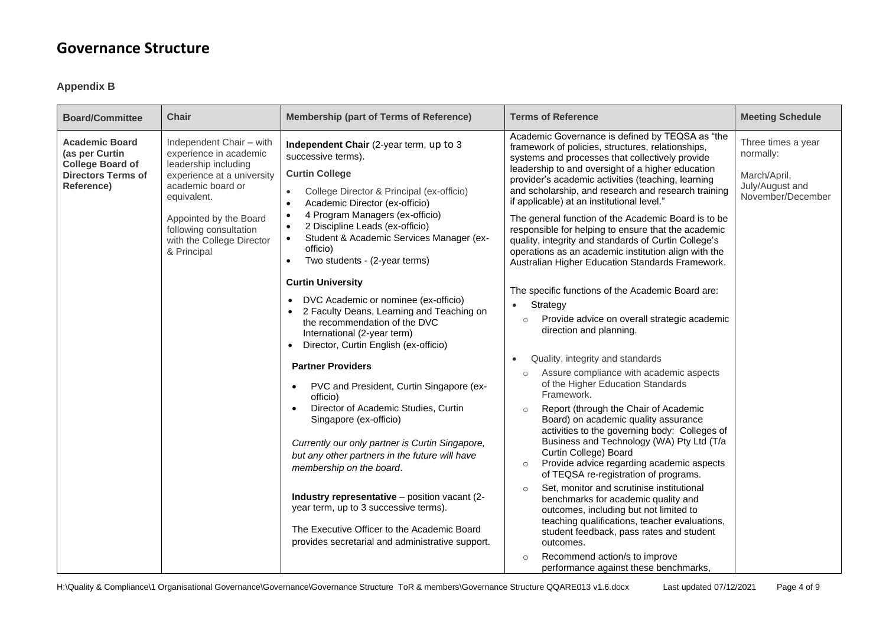### **Appendix B**

| <b>Board/Committee</b>                                                                                                                      | <b>Chair</b>                                                                                                                                                                                                   | <b>Membership (part of Terms of Reference)</b>                                                                                                                                                                                                                                                                                                                                                                                                                                   | <b>Terms of Reference</b>                                                                                                                                                                                                                                                                                                                                                                                                                                                                                                                                                                                                                                                                                                                                                                                          | <b>Meeting Schedule</b>                                                                 |
|---------------------------------------------------------------------------------------------------------------------------------------------|----------------------------------------------------------------------------------------------------------------------------------------------------------------------------------------------------------------|----------------------------------------------------------------------------------------------------------------------------------------------------------------------------------------------------------------------------------------------------------------------------------------------------------------------------------------------------------------------------------------------------------------------------------------------------------------------------------|--------------------------------------------------------------------------------------------------------------------------------------------------------------------------------------------------------------------------------------------------------------------------------------------------------------------------------------------------------------------------------------------------------------------------------------------------------------------------------------------------------------------------------------------------------------------------------------------------------------------------------------------------------------------------------------------------------------------------------------------------------------------------------------------------------------------|-----------------------------------------------------------------------------------------|
| <b>Academic Board</b><br>(as per Curtin<br><b>College Board of</b><br><b>Directors Terms of</b><br>Reference)<br>equivalent.<br>& Principal | Independent Chair - with<br>experience in academic<br>leadership including<br>experience at a university<br>academic board or<br>Appointed by the Board<br>following consultation<br>with the College Director | Independent Chair (2-year term, up to 3<br>successive terms).<br><b>Curtin College</b><br>College Director & Principal (ex-officio)<br>Academic Director (ex-officio)<br>4 Program Managers (ex-officio)<br>2 Discipline Leads (ex-officio)<br>$\bullet$<br>Student & Academic Services Manager (ex-<br>$\bullet$<br>officio)<br>Two students - (2-year terms)<br><b>Curtin University</b><br>DVC Academic or nominee (ex-officio)                                               | Academic Governance is defined by TEQSA as "the<br>framework of policies, structures, relationships,<br>systems and processes that collectively provide<br>leadership to and oversight of a higher education<br>provider's academic activities (teaching, learning<br>and scholarship, and research and research training<br>if applicable) at an institutional level."<br>The general function of the Academic Board is to be<br>responsible for helping to ensure that the academic<br>quality, integrity and standards of Curtin College's<br>operations as an academic institution align with the<br>Australian Higher Education Standards Framework.<br>The specific functions of the Academic Board are:<br>Strategy<br>$\bullet$                                                                            | Three times a year<br>normally:<br>March/April,<br>July/August and<br>November/December |
|                                                                                                                                             |                                                                                                                                                                                                                | 2 Faculty Deans, Learning and Teaching on<br>the recommendation of the DVC<br>International (2-year term)<br>Director, Curtin English (ex-officio)                                                                                                                                                                                                                                                                                                                               | Provide advice on overall strategic academic<br>$\circ$<br>direction and planning.                                                                                                                                                                                                                                                                                                                                                                                                                                                                                                                                                                                                                                                                                                                                 |                                                                                         |
|                                                                                                                                             |                                                                                                                                                                                                                | <b>Partner Providers</b><br>PVC and President, Curtin Singapore (ex-<br>officio)<br>Director of Academic Studies, Curtin<br>Singapore (ex-officio)<br>Currently our only partner is Curtin Singapore,<br>but any other partners in the future will have<br>membership on the board.<br>Industry representative - position vacant (2-<br>year term, up to 3 successive terms).<br>The Executive Officer to the Academic Board<br>provides secretarial and administrative support. | Quality, integrity and standards<br>$\bullet$<br>Assure compliance with academic aspects<br>$\circ$<br>of the Higher Education Standards<br>Framework.<br>Report (through the Chair of Academic<br>$\circ$<br>Board) on academic quality assurance<br>activities to the governing body: Colleges of<br>Business and Technology (WA) Pty Ltd (T/a<br>Curtin College) Board<br>Provide advice regarding academic aspects<br>$\circ$<br>of TEQSA re-registration of programs.<br>Set, monitor and scrutinise institutional<br>$\circ$<br>benchmarks for academic quality and<br>outcomes, including but not limited to<br>teaching qualifications, teacher evaluations,<br>student feedback, pass rates and student<br>outcomes.<br>Recommend action/s to improve<br>$\circ$<br>performance against these benchmarks, |                                                                                         |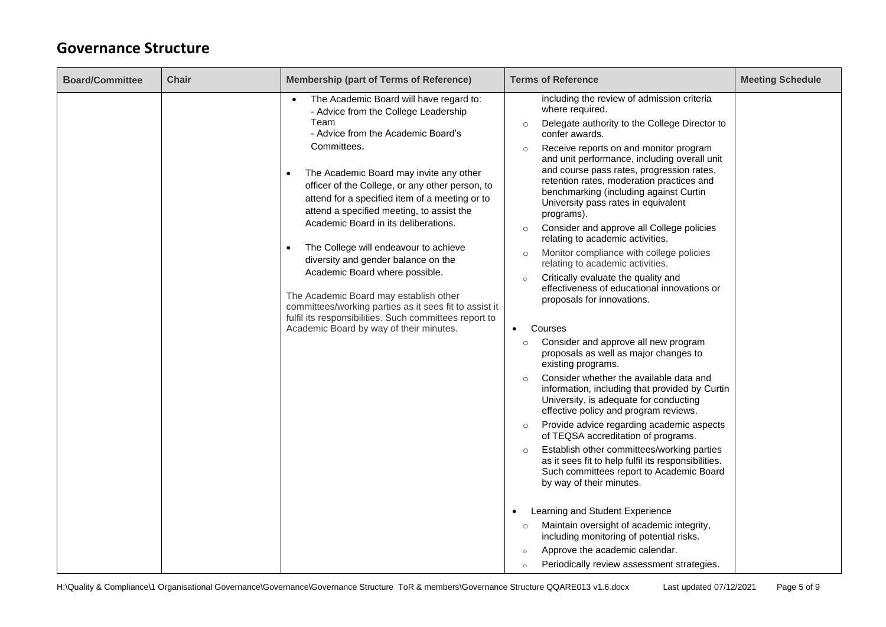| <b>Board/Committee</b> | <b>Chair</b> | <b>Membership (part of Terms of Reference)</b>                                                                                                                                                                                                                                                                                                                                                                                                                                                                                                                                                                                                                                                                                         | <b>Terms of Reference</b>                                                                                                                                                                                                                                                                                                                                                                                                                                                                                                                                                                                                                                                                                                                                                                                                                                                                                                                                                                                                                                                                                                                                                                                                                                                                                                                                                                                                                                                                                                                                                                                                                 | <b>Meeting Schedule</b> |
|------------------------|--------------|----------------------------------------------------------------------------------------------------------------------------------------------------------------------------------------------------------------------------------------------------------------------------------------------------------------------------------------------------------------------------------------------------------------------------------------------------------------------------------------------------------------------------------------------------------------------------------------------------------------------------------------------------------------------------------------------------------------------------------------|-------------------------------------------------------------------------------------------------------------------------------------------------------------------------------------------------------------------------------------------------------------------------------------------------------------------------------------------------------------------------------------------------------------------------------------------------------------------------------------------------------------------------------------------------------------------------------------------------------------------------------------------------------------------------------------------------------------------------------------------------------------------------------------------------------------------------------------------------------------------------------------------------------------------------------------------------------------------------------------------------------------------------------------------------------------------------------------------------------------------------------------------------------------------------------------------------------------------------------------------------------------------------------------------------------------------------------------------------------------------------------------------------------------------------------------------------------------------------------------------------------------------------------------------------------------------------------------------------------------------------------------------|-------------------------|
|                        |              | The Academic Board will have regard to:<br>$\bullet$<br>- Advice from the College Leadership<br>Team<br>- Advice from the Academic Board's<br>Committees.<br>The Academic Board may invite any other<br>officer of the College, or any other person, to<br>attend for a specified item of a meeting or to<br>attend a specified meeting, to assist the<br>Academic Board in its deliberations.<br>The College will endeavour to achieve<br>$\bullet$<br>diversity and gender balance on the<br>Academic Board where possible.<br>The Academic Board may establish other<br>committees/working parties as it sees fit to assist it<br>fulfil its responsibilities. Such committees report to<br>Academic Board by way of their minutes. | including the review of admission criteria<br>where required.<br>Delegate authority to the College Director to<br>$\circ$<br>confer awards.<br>Receive reports on and monitor program<br>$\circ$<br>and unit performance, including overall unit<br>and course pass rates, progression rates,<br>retention rates, moderation practices and<br>benchmarking (including against Curtin<br>University pass rates in equivalent<br>programs).<br>Consider and approve all College policies<br>$\circ$<br>relating to academic activities.<br>Monitor compliance with college policies<br>$\circ$<br>relating to academic activities.<br>Critically evaluate the quality and<br>$\circ$<br>effectiveness of educational innovations or<br>proposals for innovations.<br>Courses<br>$\bullet$<br>Consider and approve all new program<br>$\circ$<br>proposals as well as major changes to<br>existing programs.<br>Consider whether the available data and<br>$\Omega$<br>information, including that provided by Curtin<br>University, is adequate for conducting<br>effective policy and program reviews.<br>Provide advice regarding academic aspects<br>$\circ$<br>of TEQSA accreditation of programs.<br>Establish other committees/working parties<br>$\circ$<br>as it sees fit to help fulfil its responsibilities.<br>Such committees report to Academic Board<br>by way of their minutes.<br>Learning and Student Experience<br>Maintain oversight of academic integrity,<br>$\circ$<br>including monitoring of potential risks.<br>Approve the academic calendar.<br>$\circ$<br>Periodically review assessment strategies.<br>$\circ$ |                         |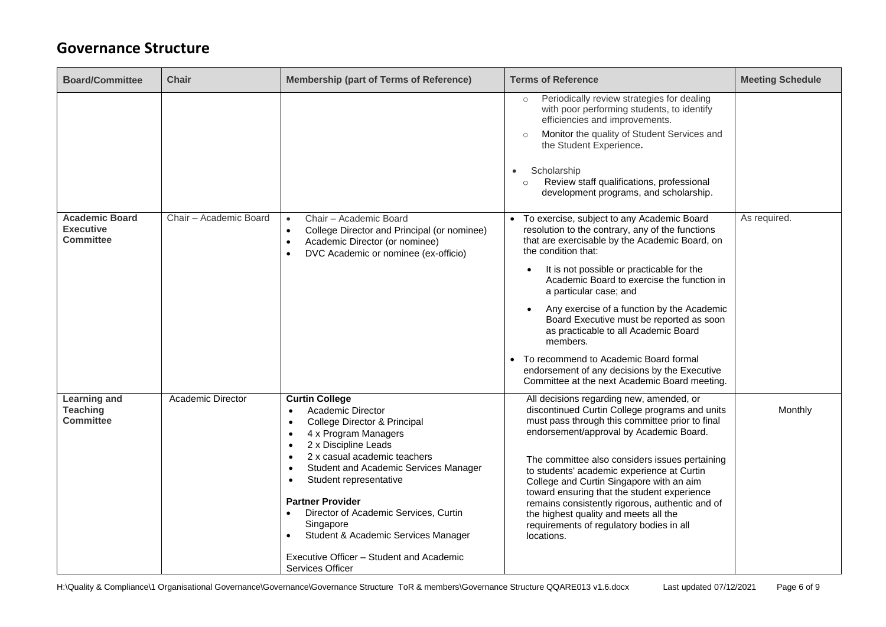| <b>Board/Committee</b>                                        | <b>Chair</b>           | <b>Membership (part of Terms of Reference)</b>                                                                                                                                                                                                                                                                                                                                                                                                       | <b>Terms of Reference</b>                                                                                                                                                                                                                                                                                                                                                                                                                                                                                                                                                                            | <b>Meeting Schedule</b> |
|---------------------------------------------------------------|------------------------|------------------------------------------------------------------------------------------------------------------------------------------------------------------------------------------------------------------------------------------------------------------------------------------------------------------------------------------------------------------------------------------------------------------------------------------------------|------------------------------------------------------------------------------------------------------------------------------------------------------------------------------------------------------------------------------------------------------------------------------------------------------------------------------------------------------------------------------------------------------------------------------------------------------------------------------------------------------------------------------------------------------------------------------------------------------|-------------------------|
|                                                               |                        |                                                                                                                                                                                                                                                                                                                                                                                                                                                      | Periodically review strategies for dealing<br>$\circ$<br>with poor performing students, to identify<br>efficiencies and improvements.<br>Monitor the quality of Student Services and<br>$\circ$<br>the Student Experience.<br>Scholarship<br>$\bullet$<br>Review staff qualifications, professional<br>$\circ$<br>development programs, and scholarship.                                                                                                                                                                                                                                             |                         |
| <b>Academic Board</b><br><b>Executive</b><br><b>Committee</b> | Chair - Academic Board | Chair - Academic Board<br>$\bullet$<br>College Director and Principal (or nominee)<br>$\bullet$<br>Academic Director (or nominee)<br>$\bullet$<br>DVC Academic or nominee (ex-officio)<br>$\bullet$                                                                                                                                                                                                                                                  | To exercise, subject to any Academic Board<br>resolution to the contrary, any of the functions<br>that are exercisable by the Academic Board, on<br>the condition that:<br>It is not possible or practicable for the<br>$\bullet$<br>Academic Board to exercise the function in<br>a particular case; and<br>Any exercise of a function by the Academic<br>Board Executive must be reported as soon<br>as practicable to all Academic Board<br>members.<br>• To recommend to Academic Board formal<br>endorsement of any decisions by the Executive<br>Committee at the next Academic Board meeting. | As required.            |
| <b>Learning and</b><br><b>Teaching</b><br><b>Committee</b>    | Academic Director      | <b>Curtin College</b><br>Academic Director<br>College Director & Principal<br>$\bullet$<br>4 x Program Managers<br>٠<br>2 x Discipline Leads<br>2 x casual academic teachers<br>Student and Academic Services Manager<br>$\bullet$<br>Student representative<br><b>Partner Provider</b><br>Director of Academic Services, Curtin<br>Singapore<br>Student & Academic Services Manager<br>Executive Officer - Student and Academic<br>Services Officer | All decisions regarding new, amended, or<br>discontinued Curtin College programs and units<br>must pass through this committee prior to final<br>endorsement/approval by Academic Board.<br>The committee also considers issues pertaining<br>to students' academic experience at Curtin<br>College and Curtin Singapore with an aim<br>toward ensuring that the student experience<br>remains consistently rigorous, authentic and of<br>the highest quality and meets all the<br>requirements of regulatory bodies in all<br>locations.                                                            | Monthly                 |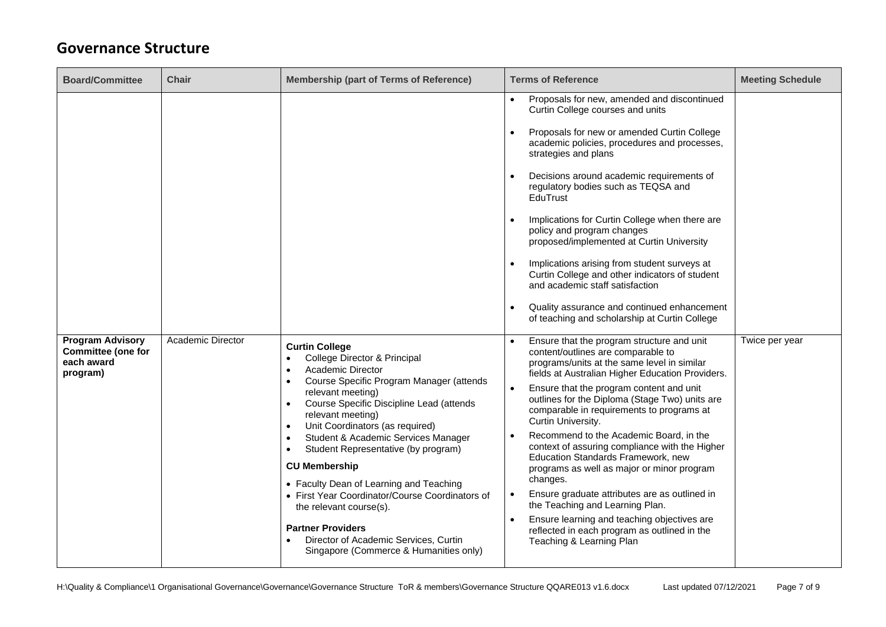| <b>Board/Committee</b>                                                         | <b>Chair</b>      | <b>Membership (part of Terms of Reference)</b>                                                                                                                                                                                                                                                                                                                                                                                                                                                                                                                                                                                       | <b>Terms of Reference</b>                                                                                                                                                                                                                                                                                                                                                                                                                                                                                                                                                                                                                                                                                                                                                                  | <b>Meeting Schedule</b> |
|--------------------------------------------------------------------------------|-------------------|--------------------------------------------------------------------------------------------------------------------------------------------------------------------------------------------------------------------------------------------------------------------------------------------------------------------------------------------------------------------------------------------------------------------------------------------------------------------------------------------------------------------------------------------------------------------------------------------------------------------------------------|--------------------------------------------------------------------------------------------------------------------------------------------------------------------------------------------------------------------------------------------------------------------------------------------------------------------------------------------------------------------------------------------------------------------------------------------------------------------------------------------------------------------------------------------------------------------------------------------------------------------------------------------------------------------------------------------------------------------------------------------------------------------------------------------|-------------------------|
|                                                                                |                   |                                                                                                                                                                                                                                                                                                                                                                                                                                                                                                                                                                                                                                      | Proposals for new, amended and discontinued<br>Curtin College courses and units<br>Proposals for new or amended Curtin College<br>academic policies, procedures and processes,<br>strategies and plans<br>Decisions around academic requirements of<br>regulatory bodies such as TEQSA and<br>EduTrust<br>Implications for Curtin College when there are<br>policy and program changes<br>proposed/implemented at Curtin University<br>Implications arising from student surveys at<br>Curtin College and other indicators of student<br>and academic staff satisfaction<br>Quality assurance and continued enhancement<br>of teaching and scholarship at Curtin College                                                                                                                   |                         |
| <b>Program Advisory</b><br><b>Committee (one for</b><br>each award<br>program) | Academic Director | <b>Curtin College</b><br>College Director & Principal<br>Academic Director<br>Course Specific Program Manager (attends<br>$\bullet$<br>relevant meeting)<br>Course Specific Discipline Lead (attends<br>relevant meeting)<br>Unit Coordinators (as required)<br>Student & Academic Services Manager<br>$\bullet$<br>Student Representative (by program)<br>$\bullet$<br><b>CU Membership</b><br>• Faculty Dean of Learning and Teaching<br>• First Year Coordinator/Course Coordinators of<br>the relevant course(s).<br><b>Partner Providers</b><br>Director of Academic Services, Curtin<br>Singapore (Commerce & Humanities only) | Ensure that the program structure and unit<br>content/outlines are comparable to<br>programs/units at the same level in similar<br>fields at Australian Higher Education Providers.<br>Ensure that the program content and unit<br>$\bullet$<br>outlines for the Diploma (Stage Two) units are<br>comparable in requirements to programs at<br>Curtin University.<br>Recommend to the Academic Board, in the<br>context of assuring compliance with the Higher<br>Education Standards Framework, new<br>programs as well as major or minor program<br>changes.<br>Ensure graduate attributes are as outlined in<br>$\bullet$<br>the Teaching and Learning Plan.<br>Ensure learning and teaching objectives are<br>reflected in each program as outlined in the<br>Teaching & Learning Plan | Twice per year          |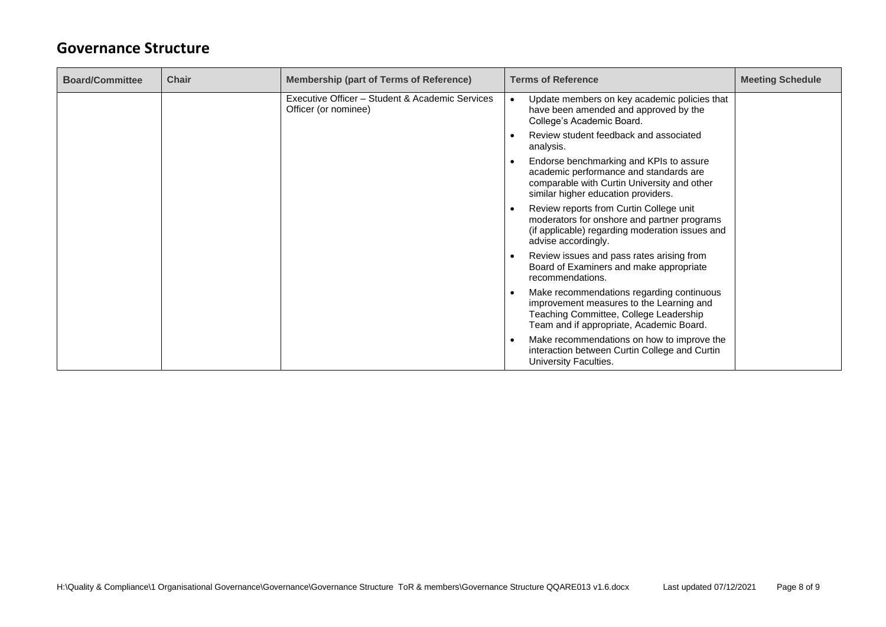| <b>Board/Committee</b> | <b>Chair</b> | <b>Membership (part of Terms of Reference)</b>                          | <b>Terms of Reference</b><br><b>Meeting Schedule</b>                                                                                                                        |
|------------------------|--------------|-------------------------------------------------------------------------|-----------------------------------------------------------------------------------------------------------------------------------------------------------------------------|
|                        |              | Executive Officer - Student & Academic Services<br>Officer (or nominee) | Update members on key academic policies that<br>have been amended and approved by the<br>College's Academic Board.                                                          |
|                        |              |                                                                         | Review student feedback and associated<br>analysis.                                                                                                                         |
|                        |              |                                                                         | Endorse benchmarking and KPIs to assure<br>academic performance and standards are<br>comparable with Curtin University and other<br>similar higher education providers.     |
|                        |              |                                                                         | Review reports from Curtin College unit<br>moderators for onshore and partner programs<br>(if applicable) regarding moderation issues and<br>advise accordingly.            |
|                        |              |                                                                         | Review issues and pass rates arising from<br>Board of Examiners and make appropriate<br>recommendations.                                                                    |
|                        |              |                                                                         | Make recommendations regarding continuous<br>improvement measures to the Learning and<br>Teaching Committee, College Leadership<br>Team and if appropriate, Academic Board. |
|                        |              |                                                                         | Make recommendations on how to improve the<br>interaction between Curtin College and Curtin<br>University Faculties.                                                        |